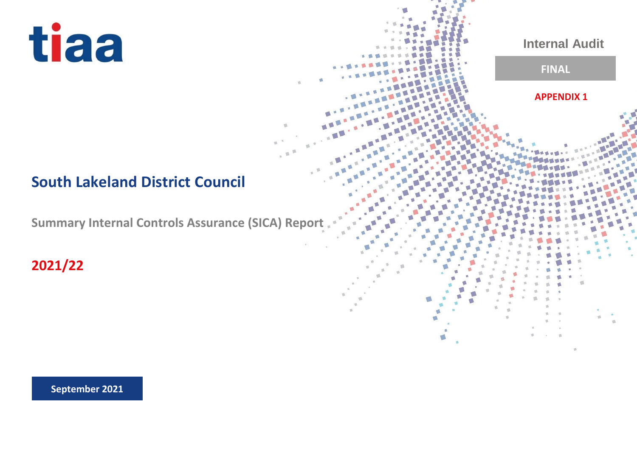

# **South Lakeland District Council**

**Summary Internal Controls Assurance (SICA) Report** 

**2021/22**

**September 2021**

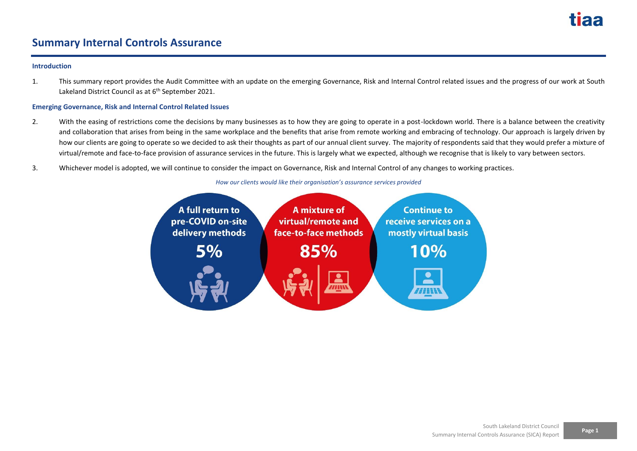### **Summary Internal Controls Assurance**

#### **Introduction**

1. This summary report provides the Audit Committee with an update on the emerging Governance, Risk and Internal Control related issues and the progress of our work at South Lakeland District Council as at 6<sup>th</sup> September 2021.

#### **Emerging Governance, Risk and Internal Control Related Issues**

- 2. With the easing of restrictions come the decisions by many businesses as to how they are going to operate in a post-lockdown world. There is a balance between the creativity and collaboration that arises from being in the same workplace and the benefits that arise from remote working and embracing of technology. Our approach is largely driven by how our clients are going to operate so we decided to ask their thoughts as part of our annual client survey. The majority of respondents said that they would prefer a mixture of virtual/remote and face-to-face provision of assurance services in the future. This is largely what we expected, although we recognise that is likely to vary between sectors.
- 3. Whichever model is adopted, we will continue to consider the impact on Governance, Risk and Internal Control of any changes to working practices.

#### *How our clients would like their organisation's assurance services provided*

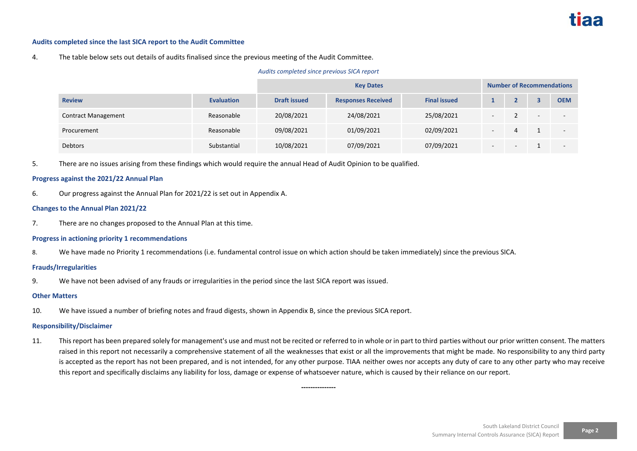#### **Audits completed since the last SICA report to the Audit Committee**

#### 4. The table below sets out details of audits finalised since the previous meeting of the Audit Committee.

#### *Audits completed since previous SICA report*

|                            |                   | <b>Key Dates</b>    |                           |                     |                          | <b>Number of Recommendations</b> |        |            |  |
|----------------------------|-------------------|---------------------|---------------------------|---------------------|--------------------------|----------------------------------|--------|------------|--|
| <b>Review</b>              | <b>Evaluation</b> | <b>Draft issued</b> | <b>Responses Received</b> | <b>Final issued</b> |                          |                                  |        | <b>OEM</b> |  |
| <b>Contract Management</b> | Reasonable        | 20/08/2021          | 24/08/2021                | 25/08/2021          | $\overline{\phantom{a}}$ |                                  | $\sim$ |            |  |
| Procurement                | Reasonable        | 09/08/2021          | 01/09/2021                | 02/09/2021          | $\overline{\phantom{a}}$ |                                  |        |            |  |
| Debtors                    | Substantial       | 10/08/2021          | 07/09/2021                | 07/09/2021          |                          |                                  |        |            |  |

5. There are no issues arising from these findings which would require the annual Head of Audit Opinion to be qualified.

#### **Progress against the 2021/22 Annual Plan**

6. Our progress against the Annual Plan for 2021/22 is set out in Appendix A.

#### **Changes to the Annual Plan 2021/22**

7. There are no changes proposed to the Annual Plan at this time.

#### **Progress in actioning priority 1 recommendations**

8. We have made no Priority 1 recommendations (i.e. fundamental control issue on which action should be taken immediately) since the previous SICA.

#### **Frauds/Irregularities**

9. We have not been advised of any frauds or irregularities in the period since the last SICA report was issued.

#### **Other Matters**

10. We have issued a number of briefing notes and fraud digests, shown in Appendix B, since the previous SICA report.

#### **Responsibility/Disclaimer**

11. This report has been prepared solely for management's use and must not be recited or referred to in whole or in part to third parties without our prior written consent. The matters raised in this report not necessarily a comprehensive statement of all the weaknesses that exist or all the improvements that might be made. No responsibility to any third party is accepted as the report has not been prepared, and is not intended, for any other purpose. TIAA neither owes nor accepts any duty of care to any other party who may receive this report and specifically disclaims any liability for loss, damage or expense of whatsoever nature, which is caused by their reliance on our report.

**---------------**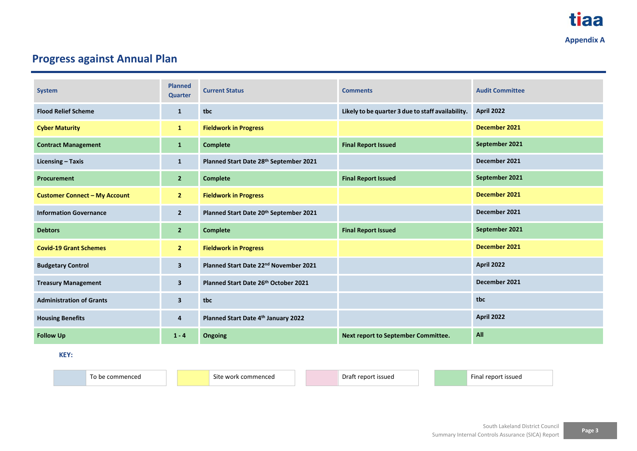## **Progress against Annual Plan**

| <b>System</b>                        | <b>Planned</b><br><b>Quarter</b> | <b>Current Status</b>                             | <b>Comments</b>                                   | <b>Audit Committee</b> |  |
|--------------------------------------|----------------------------------|---------------------------------------------------|---------------------------------------------------|------------------------|--|
| <b>Flood Relief Scheme</b>           | $\mathbf{1}$                     | tbc                                               | Likely to be quarter 3 due to staff availability. | <b>April 2022</b>      |  |
| <b>Cyber Maturity</b>                | $\mathbf{1}$                     | <b>Fieldwork in Progress</b>                      |                                                   | December 2021          |  |
| <b>Contract Management</b>           | $\mathbf{1}$                     | <b>Complete</b>                                   | <b>Final Report Issued</b>                        | September 2021         |  |
| Licensing - Taxis                    | 1                                | Planned Start Date 28th September 2021            |                                                   | December 2021          |  |
| <b>Procurement</b>                   | $\overline{2}$                   | <b>Complete</b>                                   | <b>Final Report Issued</b>                        | September 2021         |  |
| <b>Customer Connect - My Account</b> | 2 <sup>1</sup>                   | <b>Fieldwork in Progress</b>                      |                                                   | December 2021          |  |
| <b>Information Governance</b>        | $\overline{2}$                   | Planned Start Date 20th September 2021            |                                                   | December 2021          |  |
| <b>Debtors</b>                       | $\overline{2}$                   | <b>Complete</b>                                   | <b>Final Report Issued</b>                        | September 2021         |  |
| <b>Covid-19 Grant Schemes</b>        | $\mathbf{2}$                     | <b>Fieldwork in Progress</b>                      |                                                   | December 2021          |  |
| <b>Budgetary Control</b>             | $\overline{\mathbf{3}}$          | Planned Start Date 22 <sup>nd</sup> November 2021 |                                                   | April 2022             |  |
| <b>Treasury Management</b>           | $\overline{\mathbf{3}}$          | Planned Start Date 26th October 2021              |                                                   | December 2021          |  |
| <b>Administration of Grants</b>      | $\overline{\mathbf{3}}$          | tbc                                               |                                                   | tbc                    |  |
| <b>Housing Benefits</b>              | 4                                | Planned Start Date 4th January 2022               |                                                   | <b>April 2022</b>      |  |
| <b>Follow Up</b>                     | $1 - 4$                          | <b>Ongoing</b>                                    | Next report to September Committee.               | All                    |  |

**KEY:**

To be commenced Site work commenced Site work commenced Braft report issued Final report issued